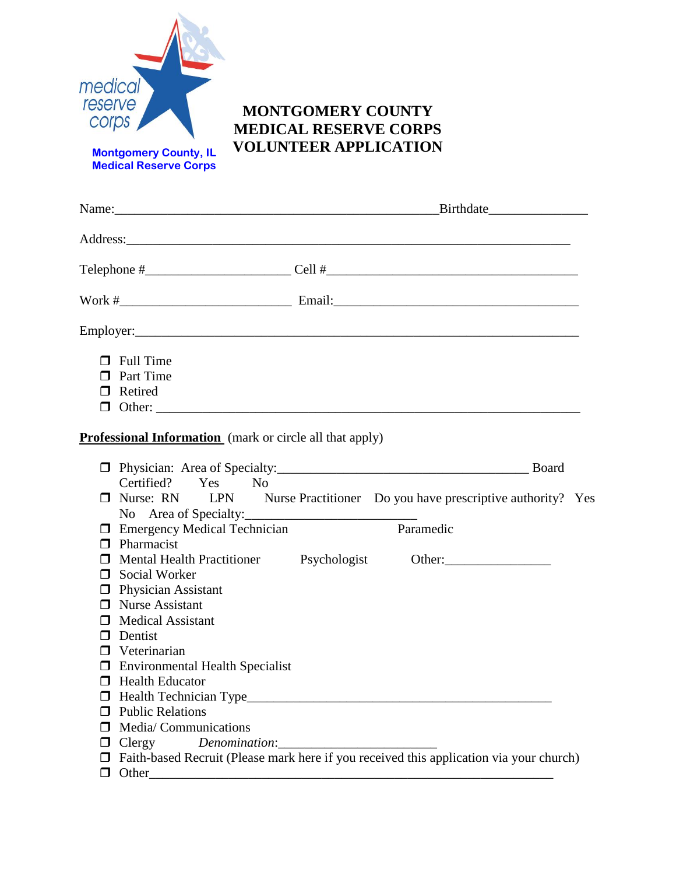

**MEDICAL RESERVE CORPS VOLUNTEER APPLICATION Montgomery County, IL Medical Reserve Corps**

**MONTGOMERY COUNTY**

|                                                                                                                                                                                                                                                                                                                               | Name: Birthdate                                                                                                                 |
|-------------------------------------------------------------------------------------------------------------------------------------------------------------------------------------------------------------------------------------------------------------------------------------------------------------------------------|---------------------------------------------------------------------------------------------------------------------------------|
|                                                                                                                                                                                                                                                                                                                               |                                                                                                                                 |
|                                                                                                                                                                                                                                                                                                                               |                                                                                                                                 |
|                                                                                                                                                                                                                                                                                                                               |                                                                                                                                 |
|                                                                                                                                                                                                                                                                                                                               |                                                                                                                                 |
| $\Box$ Full Time<br>$\Box$ Part Time<br>□ Retired                                                                                                                                                                                                                                                                             |                                                                                                                                 |
| <b>Professional Information</b> (mark or circle all that apply)                                                                                                                                                                                                                                                               |                                                                                                                                 |
| Certified? Yes No<br>No Area of Specialty:                                                                                                                                                                                                                                                                                    | <b>D</b> Physician: Area of Specialty: Board<br>$\Box$ Nurse: RN LPN Nurse Practitioner Do you have prescriptive authority? Yes |
| $\Box$ Emergency Medical Technician<br>$\Box$ Pharmacist                                                                                                                                                                                                                                                                      | Paramedic                                                                                                                       |
| □ Mental Health Practitioner Psychologist<br>□ Social Worker<br>$\Box$ Physician Assistant<br>$\Box$ Nurse Assistant<br><b>Medical Assistant</b><br>Dentist<br>Veterinarian<br>$\Box$ Environmental Health Specialist<br>$\Box$ Health Educator<br>Health Technician Type_<br><b>Public Relations</b><br>Media/Communications |                                                                                                                                 |
| Clergy<br>Other                                                                                                                                                                                                                                                                                                               | Faith-based Recruit (Please mark here if you received this application via your church)                                         |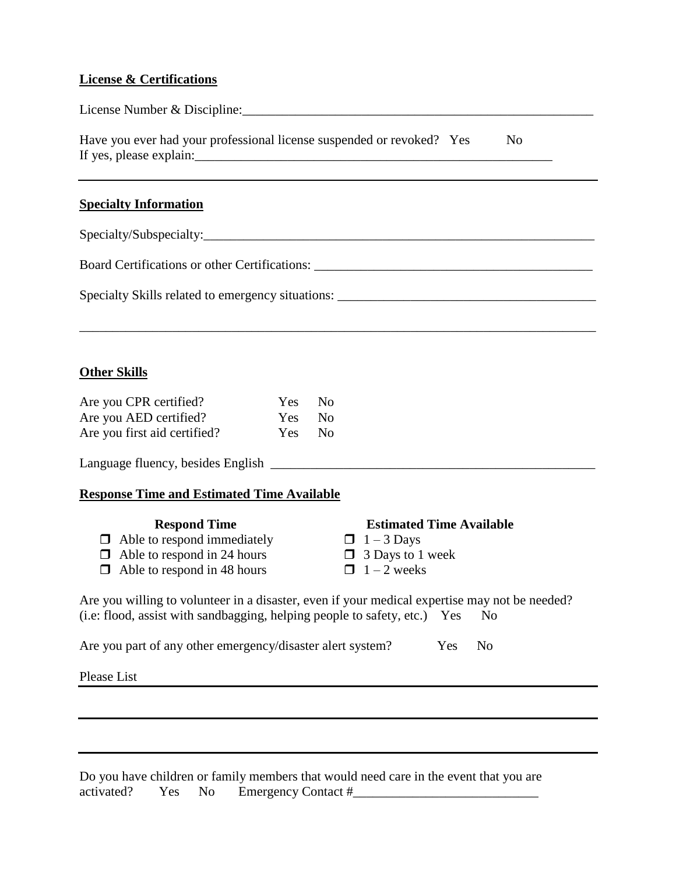## **License & Certifications**

| License Number & Discipline:                                                                                          |                                                       |                                                                                                       |
|-----------------------------------------------------------------------------------------------------------------------|-------------------------------------------------------|-------------------------------------------------------------------------------------------------------|
| Have you ever had your professional license suspended or revoked? Yes                                                 |                                                       | N <sub>o</sub>                                                                                        |
| <b>Specialty Information</b>                                                                                          |                                                       |                                                                                                       |
|                                                                                                                       |                                                       |                                                                                                       |
|                                                                                                                       |                                                       |                                                                                                       |
|                                                                                                                       |                                                       |                                                                                                       |
|                                                                                                                       |                                                       |                                                                                                       |
| <b>Other Skills</b>                                                                                                   |                                                       |                                                                                                       |
| Are you CPR certified?                                                                                                | N <sub>o</sub><br><b>Yes</b>                          |                                                                                                       |
| Are you AED certified?<br>Are you first aid certified?                                                                | <b>Yes</b><br>N <sub>0</sub><br>Yes<br>N <sub>o</sub> |                                                                                                       |
|                                                                                                                       |                                                       |                                                                                                       |
| <b>Response Time and Estimated Time Available</b>                                                                     |                                                       |                                                                                                       |
| <b>Respond Time</b><br>Able to respond immediately<br>П<br>Able to respond in 24 hours<br>Able to respond in 48 hours |                                                       | <b>Estimated Time Available</b><br>$\Box$ 1 – 3 Days<br>$\Box$ 3 Days to 1 week<br>$\Box$ 1 – 2 weeks |

Are you willing to volunteer in a disaster, even if your medical expertise may not be needed? (i.e: flood, assist with sandbagging, helping people to safety, etc.) Yes No

Are you part of any other emergency/disaster alert system? Yes No

Please List

Do you have children or family members that would need care in the event that you are activated? Yes No Emergency Contact #\_\_\_\_\_\_\_\_\_\_\_\_\_\_\_\_\_\_\_\_\_\_\_\_\_\_\_\_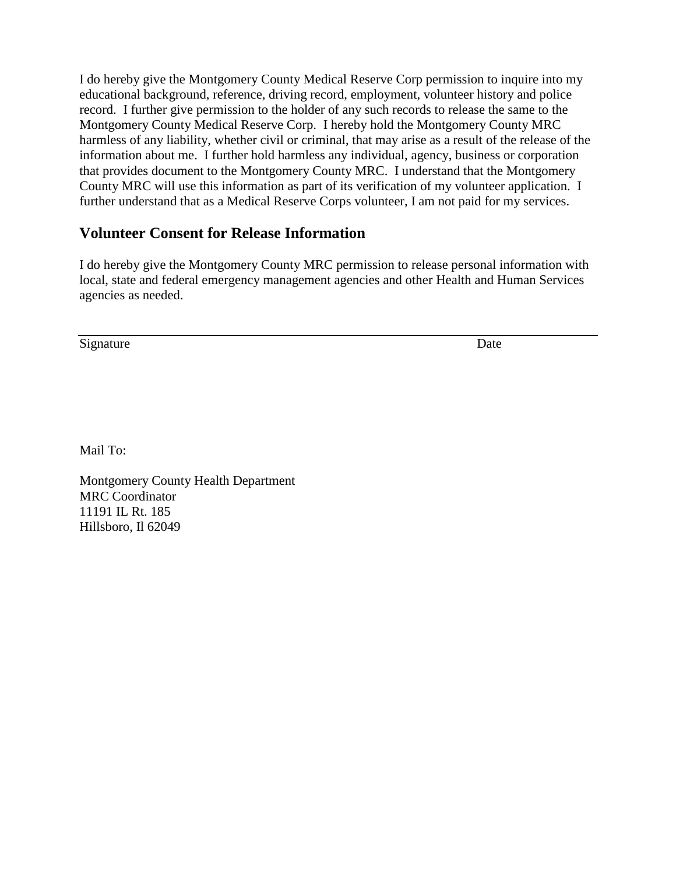I do hereby give the Montgomery County Medical Reserve Corp permission to inquire into my educational background, reference, driving record, employment, volunteer history and police record. I further give permission to the holder of any such records to release the same to the Montgomery County Medical Reserve Corp. I hereby hold the Montgomery County MRC harmless of any liability, whether civil or criminal, that may arise as a result of the release of the information about me. I further hold harmless any individual, agency, business or corporation that provides document to the Montgomery County MRC. I understand that the Montgomery County MRC will use this information as part of its verification of my volunteer application. I further understand that as a Medical Reserve Corps volunteer, I am not paid for my services.

## **Volunteer Consent for Release Information**

I do hereby give the Montgomery County MRC permission to release personal information with local, state and federal emergency management agencies and other Health and Human Services agencies as needed.

Signature Date by Date Date of the United States of the United States of the United States of the United States of the United States of the United States of the United States of the United States of the United States of th

Mail To:

Montgomery County Health Department MRC Coordinator 11191 IL Rt. 185 Hillsboro, Il 62049